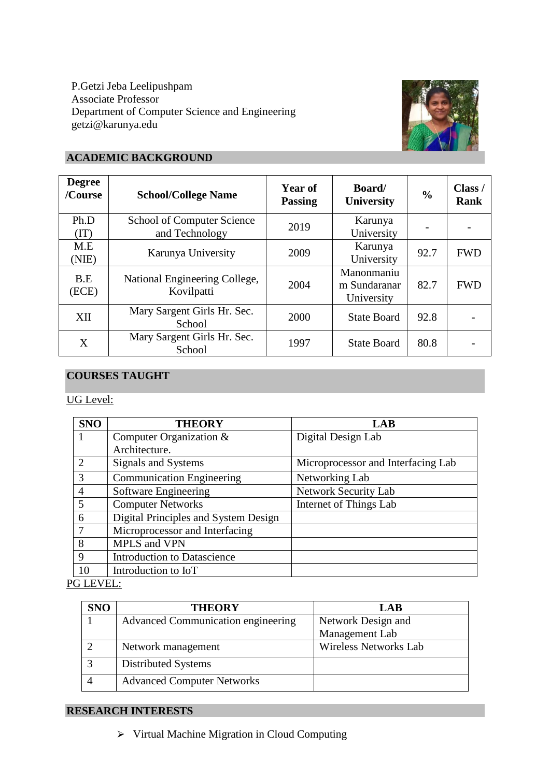P.Getzi Jeba Leelipushpam Associate Professor Department of Computer Science and Engineering getzi@karunya.edu



# **ACADEMIC BACKGROUND**

| <b>Degree</b><br>/Course | <b>School/College Name</b>                          | Year of<br><b>Passing</b> | Board/<br>University                     | $\frac{0}{0}$ | Class /<br><b>Rank</b> |
|--------------------------|-----------------------------------------------------|---------------------------|------------------------------------------|---------------|------------------------|
| Ph.D<br>(TT)             | <b>School of Computer Science</b><br>and Technology | 2019                      | Karunya<br>University                    |               |                        |
| M.E<br>(NIE)             | Karunya University                                  | 2009                      | Karunya<br>University                    | 92.7          | <b>FWD</b>             |
| B.E<br>(ECE)             | National Engineering College,<br>Kovilpatti         | 2004                      | Manonmaniu<br>m Sundaranar<br>University | 82.7          | <b>FWD</b>             |
| XII                      | Mary Sargent Girls Hr. Sec.<br>School               | 2000                      | <b>State Board</b>                       | 92.8          |                        |
| X                        | Mary Sargent Girls Hr. Sec.<br>School               | 1997                      | <b>State Board</b>                       | 80.8          |                        |

# **COURSES TAUGHT**

## UG Level:

| <b>SNO</b>     | <b>THEORY</b>                        | LAB                                |
|----------------|--------------------------------------|------------------------------------|
|                | Computer Organization &              | Digital Design Lab                 |
|                | Architecture.                        |                                    |
| $\mathcal{D}$  | Signals and Systems                  | Microprocessor and Interfacing Lab |
| 3              | <b>Communication Engineering</b>     | Networking Lab                     |
| $\overline{4}$ | Software Engineering                 | <b>Network Security Lab</b>        |
| 5              | <b>Computer Networks</b>             | Internet of Things Lab             |
| 6              | Digital Principles and System Design |                                    |
|                | Microprocessor and Interfacing       |                                    |
| 8              | MPLS and VPN                         |                                    |
| 9              | <b>Introduction to Datascience</b>   |                                    |
| 10             | Introduction to IoT                  |                                    |

### PG LEVEL:

| <b>SNO</b> | <b>THEORY</b>                      | LAB                          |  |
|------------|------------------------------------|------------------------------|--|
|            | Advanced Communication engineering | Network Design and           |  |
|            |                                    | Management Lab               |  |
|            | Network management                 | <b>Wireless Networks Lab</b> |  |
|            | Distributed Systems                |                              |  |
|            | <b>Advanced Computer Networks</b>  |                              |  |

## **RESEARCH INTERESTS**

⮚ Virtual Machine Migration in Cloud Computing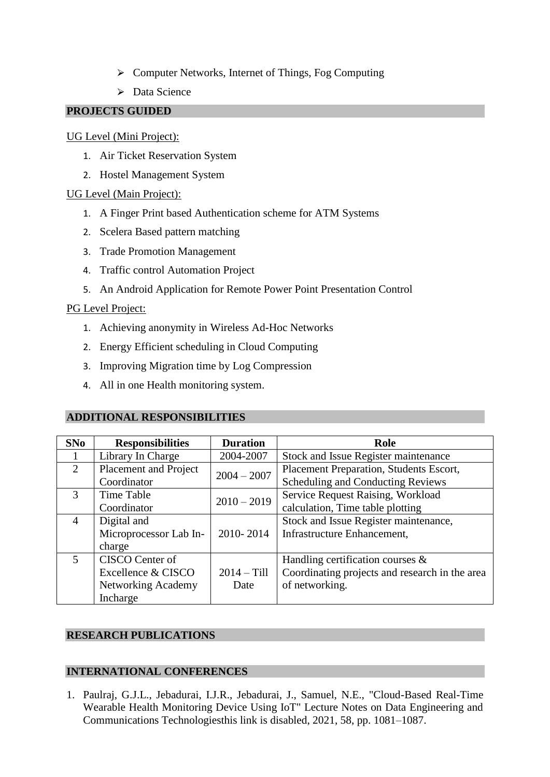- ⮚ Computer Networks, Internet of Things, Fog Computing
- $\triangleright$  Data Science

### **PROJECTS GUIDED**

### UG Level (Mini Project):

- 1. Air Ticket Reservation System
- 2. Hostel Management System

### UG Level (Main Project):

- 1. A Finger Print based Authentication scheme for ATM Systems
- 2. Scelera Based pattern matching
- 3. Trade Promotion Management
- 4. Traffic control Automation Project
- 5. An Android Application for Remote Power Point Presentation Control

### PG Level Project:

- 1. Achieving anonymity in Wireless Ad-Hoc Networks
- 2. Energy Efficient scheduling in Cloud Computing
- 3. Improving Migration time by Log Compression
- 4. All in one Health monitoring system.

### **ADDITIONAL RESPONSIBILITIES**

| <b>SNo</b> | <b>Responsibilities</b> | <b>Duration</b> | Role                                           |
|------------|-------------------------|-----------------|------------------------------------------------|
|            | Library In Charge       | 2004-2007       | Stock and Issue Register maintenance           |
| 2          | Placement and Project   | $2004 - 2007$   | Placement Preparation, Students Escort,        |
|            | Coordinator             |                 | <b>Scheduling and Conducting Reviews</b>       |
| 3          | Time Table              | $2010 - 2019$   | Service Request Raising, Workload              |
|            | Coordinator             |                 | calculation, Time table plotting               |
| 4          | Digital and             |                 | Stock and Issue Register maintenance,          |
|            | Microprocessor Lab In-  | 2010-2014       | Infrastructure Enhancement,                    |
|            | charge                  |                 |                                                |
| 5          | CISCO Center of         |                 | Handling certification courses $\&$            |
|            | Excellence & CISCO      | $2014 - Till$   | Coordinating projects and research in the area |
|            | Networking Academy      | Date            | of networking.                                 |
|            | Incharge                |                 |                                                |

### **RESEARCH PUBLICATIONS**

### **INTERNATIONAL CONFERENCES**

1. Paulraj, G.J.L., Jebadurai, I.J.R., Jebadurai, J., Samuel, N.E., "Cloud-Based Real-Time Wearable Health Monitoring Device Using IoT" Lecture Notes on Data Engineering and Communications Technologiesthis link is disabled, 2021, 58, pp. 1081–1087.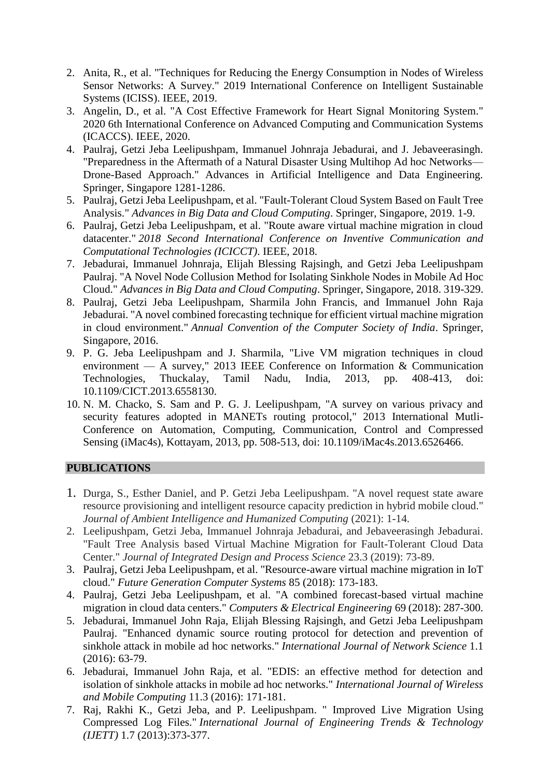- 2. Anita, R., et al. "Techniques for Reducing the Energy Consumption in Nodes of Wireless Sensor Networks: A Survey." 2019 International Conference on Intelligent Sustainable Systems (ICISS). IEEE, 2019.
- 3. Angelin, D., et al. "A Cost Effective Framework for Heart Signal Monitoring System." 2020 6th International Conference on Advanced Computing and Communication Systems (ICACCS). IEEE, 2020.
- 4. Paulraj, Getzi Jeba Leelipushpam, Immanuel Johnraja Jebadurai, and J. Jebaveerasingh. "Preparedness in the Aftermath of a Natural Disaster Using Multihop Ad hoc Networks— Drone-Based Approach." Advances in Artificial Intelligence and Data Engineering. Springer, Singapore 1281-1286.
- 5. Paulraj, Getzi Jeba Leelipushpam, et al. "Fault-Tolerant Cloud System Based on Fault Tree Analysis." *Advances in Big Data and Cloud Computing*. Springer, Singapore, 2019. 1-9.
- 6. Paulraj, Getzi Jeba Leelipushpam, et al. "Route aware virtual machine migration in cloud datacenter." *2018 Second International Conference on Inventive Communication and Computational Technologies (ICICCT)*. IEEE, 2018.
- 7. Jebadurai, Immanuel Johnraja, Elijah Blessing Rajsingh, and Getzi Jeba Leelipushpam Paulraj. "A Novel Node Collusion Method for Isolating Sinkhole Nodes in Mobile Ad Hoc Cloud." *Advances in Big Data and Cloud Computing*. Springer, Singapore, 2018. 319-329.
- 8. Paulraj, Getzi Jeba Leelipushpam, Sharmila John Francis, and Immanuel John Raja Jebadurai. "A novel combined forecasting technique for efficient virtual machine migration in cloud environment." *Annual Convention of the Computer Society of India*. Springer, Singapore, 2016.
- 9. P. G. Jeba Leelipushpam and J. Sharmila, "Live VM migration techniques in cloud environment — A survey," 2013 IEEE Conference on Information & Communication Technologies, Thuckalay, Tamil Nadu, India, 2013, pp. 408-413, doi: 10.1109/CICT.2013.6558130.
- 10. N. M. Chacko, S. Sam and P. G. J. Leelipushpam, "A survey on various privacy and security features adopted in MANETs routing protocol," 2013 International Mutli-Conference on Automation, Computing, Communication, Control and Compressed Sensing (iMac4s), Kottayam, 2013, pp. 508-513, doi: 10.1109/iMac4s.2013.6526466.

### **PUBLICATIONS**

- 1. Durga, S., Esther Daniel, and P. Getzi Jeba Leelipushpam. "A novel request state aware resource provisioning and intelligent resource capacity prediction in hybrid mobile cloud." *Journal of Ambient Intelligence and Humanized Computing* (2021): 1-14.
- 2. Leelipushpam, Getzi Jeba, Immanuel Johnraja Jebadurai, and Jebaveerasingh Jebadurai. "Fault Tree Analysis based Virtual Machine Migration for Fault-Tolerant Cloud Data Center." *Journal of Integrated Design and Process Science* 23.3 (2019): 73-89.
- 3. Paulraj, Getzi Jeba Leelipushpam, et al. "Resource-aware virtual machine migration in IoT cloud." *Future Generation Computer Systems* 85 (2018): 173-183.
- 4. Paulraj, Getzi Jeba Leelipushpam, et al. "A combined forecast-based virtual machine migration in cloud data centers." *Computers & Electrical Engineering* 69 (2018): 287-300.
- 5. Jebadurai, Immanuel John Raja, Elijah Blessing Rajsingh, and Getzi Jeba Leelipushpam Paulraj. "Enhanced dynamic source routing protocol for detection and prevention of sinkhole attack in mobile ad hoc networks." *International Journal of Network Science* 1.1 (2016): 63-79.
- 6. Jebadurai, Immanuel John Raja, et al. "EDIS: an effective method for detection and isolation of sinkhole attacks in mobile ad hoc networks." *International Journal of Wireless and Mobile Computing* 11.3 (2016): 171-181.
- 7. Raj, Rakhi K., Getzi Jeba, and P. Leelipushpam. " Improved Live Migration Using Compressed Log Files." *International Journal of Engineering Trends & Technology (IJETT)* 1.7 (2013):373-377.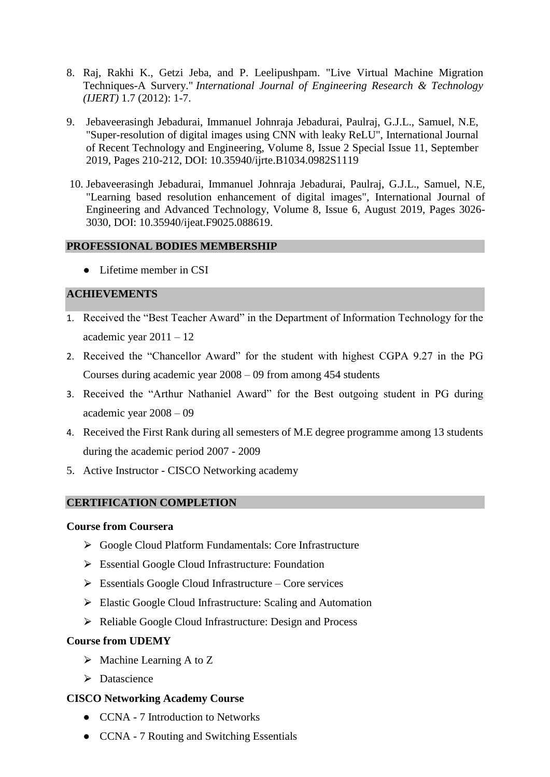- 8. Raj, Rakhi K., Getzi Jeba, and P. Leelipushpam. "Live Virtual Machine Migration Techniques-A Survery." *International Journal of Engineering Research & Technology (IJERT)* 1.7 (2012): 1-7.
- 9. Jebaveerasingh Jebadurai, Immanuel Johnraja Jebadurai, Paulraj, G.J.L., Samuel, N.E, "Super-resolution of digital images using CNN with leaky ReLU", International Journal of Recent Technology and Engineering, Volume 8, Issue 2 Special Issue 11, September 2019, Pages 210-212, DOI: 10.35940/ijrte.B1034.0982S1119
- 10. Jebaveerasingh Jebadurai, Immanuel Johnraja Jebadurai, Paulraj, G.J.L., Samuel, N.E, "Learning based resolution enhancement of digital images", International Journal of Engineering and Advanced Technology, Volume 8, Issue 6, August 2019, Pages 3026- 3030, DOI: 10.35940/ijeat.F9025.088619.

### **PROFESSIONAL BODIES MEMBERSHIP**

• Lifetime member in CSI

### **ACHIEVEMENTS**

- 1. Received the "Best Teacher Award" in the Department of Information Technology for the academic year 2011 – 12
- 2. Received the "Chancellor Award" for the student with highest CGPA 9.27 in the PG Courses during academic year 2008 – 09 from among 454 students
- 3. Received the "Arthur Nathaniel Award" for the Best outgoing student in PG during academic year 2008 – 09
- 4. Received the First Rank during all semesters of M.E degree programme among 13 students during the academic period 2007 - 2009
- 5. Active Instructor CISCO Networking academy

### **CERTIFICATION COMPLETION**

### **Course from Coursera**

- ⮚ Google Cloud Platform Fundamentals: Core Infrastructure
- $\triangleright$  Essential Google Cloud Infrastructure: Foundation
- $\triangleright$  Essentials Google Cloud Infrastructure Core services
- $\triangleright$  Elastic Google Cloud Infrastructure: Scaling and Automation
- ▶ Reliable Google Cloud Infrastructure: Design and Process

### **Course from UDEMY**

- $\triangleright$  Machine Learning A to Z
- > Datascience

### **CISCO Networking Academy Course**

- CCNA 7 Introduction to Networks
- CCNA 7 Routing and Switching Essentials